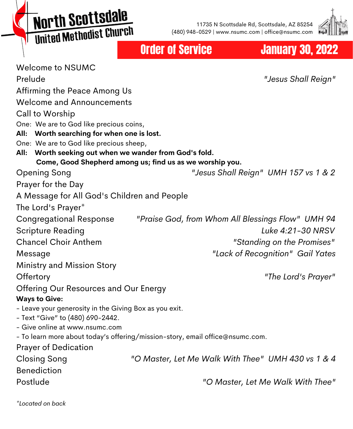**North Scottsdale** United Methodist Church

11735 N Scottsdale Rd, Scottsdale, AZ 85254 (480) 948-0529 | www.nsumc.com | office@nsumc.com



#### Order of Service **January 30, 2022**

| <b>Welcome to NSUMC</b>                                                                                               |                                                    |
|-----------------------------------------------------------------------------------------------------------------------|----------------------------------------------------|
| Prelude                                                                                                               | "Jesus Shall Reign"                                |
| Affirming the Peace Among Us                                                                                          |                                                    |
| <b>Welcome and Announcements</b>                                                                                      |                                                    |
| Call to Worship                                                                                                       |                                                    |
| One: We are to God like precious coins,                                                                               |                                                    |
| Worth searching for when one is lost.<br>All:                                                                         |                                                    |
| One: We are to God like precious sheep,                                                                               |                                                    |
| Worth seeking out when we wander from God's fold.<br>All:<br>Come, Good Shepherd among us; find us as we worship you. |                                                    |
| <b>Opening Song</b>                                                                                                   | "Jesus Shall Reign" UMH 157 vs 1 & 2               |
| Prayer for the Day                                                                                                    |                                                    |
| A Message for All God's Children and People                                                                           |                                                    |
|                                                                                                                       |                                                    |
| The Lord's Prayer*                                                                                                    |                                                    |
| <b>Congregational Response</b>                                                                                        | "Praise God, from Whom All Blessings Flow" UMH 94  |
| <b>Scripture Reading</b>                                                                                              | Luke 4:21-30 NRSV                                  |
| <b>Chancel Choir Anthem</b>                                                                                           | "Standing on the Promises"                         |
| Message                                                                                                               | "Lack of Recognition" Gail Yates                   |
| Ministry and Mission Story                                                                                            |                                                    |
| Offertory                                                                                                             | "The Lord's Prayer"                                |
| Offering Our Resources and Our Energy                                                                                 |                                                    |
| <b>Ways to Give:</b>                                                                                                  |                                                    |
| - Leave your generosity in the Giving Box as you exit.                                                                |                                                    |
| - Text "Give" to (480) 690-2442.                                                                                      |                                                    |
| - Give online at www.nsumc.com                                                                                        |                                                    |
| - To learn more about today's offering/mission-story, email office@nsumc.com.                                         |                                                    |
| <b>Prayer of Dedication</b>                                                                                           |                                                    |
| <b>Closing Song</b>                                                                                                   | "O Master, Let Me Walk With Thee" UMH 430 vs 1 & 4 |
| <b>Benediction</b>                                                                                                    |                                                    |
| Postlude                                                                                                              | "O Master, Let Me Walk With Thee"                  |